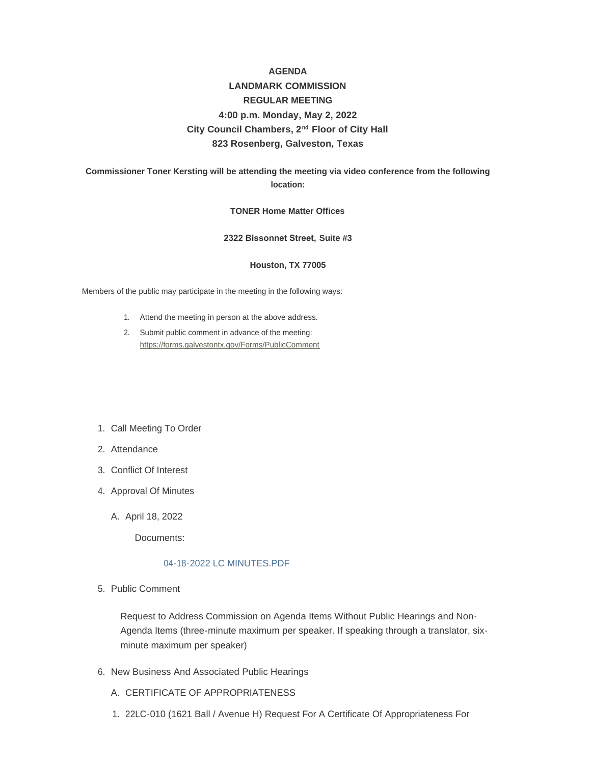## **AGENDA**

# **LANDMARK COMMISSION REGULAR MEETING 4:00 p.m. Monday, May 2, 2022** City Council Chambers, 2<sup>nd</sup> Floor of City Hall **823 Rosenberg, Galveston, Texas**

## **Commissioner Toner Kersting will be attending the meeting via video conference from the following location:**

#### **TONER Home Matter Offices**

#### **2322 Bissonnet Street, Suite #3**

#### **Houston, TX 77005**

Members of the public may participate in the meeting in the following ways:

- 1. Attend the meeting in person at the above address.
- 2. Submit public comment in advance of the meeting: <https://forms.galvestontx.gov/Forms/PublicComment>
- 1. Call Meeting To Order
- 2. Attendance
- Conflict Of Interest 3.
- 4. Approval Of Minutes
	- A. April 18, 2022

Documents:

#### [04-18-2022 LC MINUTES.PDF](https://www.galvestontx.gov/AgendaCenter/ViewFile/Item/14143?fileID=32825)

5. Public Comment

Request to Address Commission on Agenda Items Without Public Hearings and Non-Agenda Items (three-minute maximum per speaker. If speaking through a translator, sixminute maximum per speaker)

- 6. New Business And Associated Public Hearings
	- A. CERTIFICATE OF APPROPRIATENESS
	- 22LC-010 (1621 Ball / Avenue H) Request For A Certificate Of Appropriateness For 1.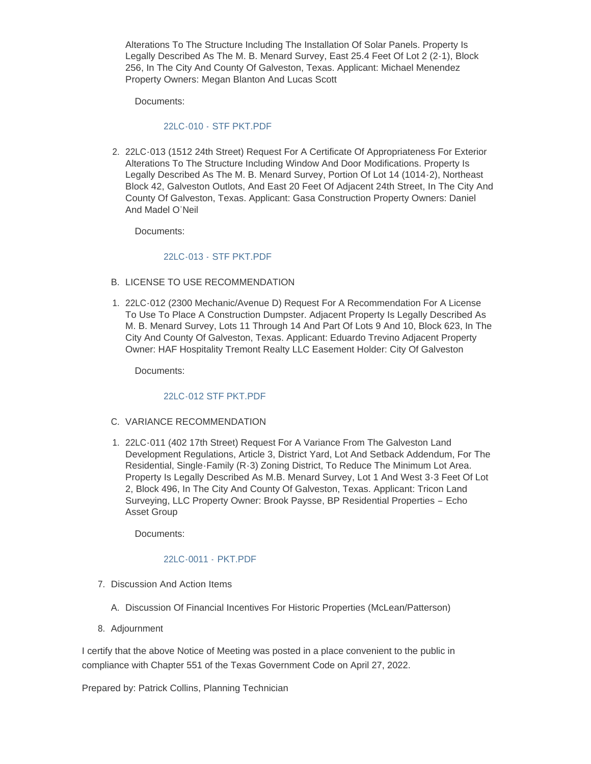Alterations To The Structure Including The Installation Of Solar Panels. Property Is Legally Described As The M. B. Menard Survey, East 25.4 Feet Of Lot 2 (2-1), Block 256, In The City And County Of Galveston, Texas. Applicant: Michael Menendez Property Owners: Megan Blanton And Lucas Scott

Documents:

## 22LC-010 - [STF PKT.PDF](https://www.galvestontx.gov/AgendaCenter/ViewFile/Item/14126?fileID=32810)

2. 22LC-013 (1512 24th Street) Request For A Certificate Of Appropriateness For Exterior Alterations To The Structure Including Window And Door Modifications. Property Is Legally Described As The M. B. Menard Survey, Portion Of Lot 14 (1014-2), Northeast Block 42, Galveston Outlots, And East 20 Feet Of Adjacent 24th Street, In The City And County Of Galveston, Texas. Applicant: Gasa Construction Property Owners: Daniel And Madel O'Neil

Documents:

## 22LC-013 - [STF PKT.PDF](https://www.galvestontx.gov/AgendaCenter/ViewFile/Item/14129?fileID=32813)

- B. LICENSE TO USE RECOMMENDATION
- 22LC-012 (2300 Mechanic/Avenue D) Request For A Recommendation For A License 1. To Use To Place A Construction Dumpster. Adjacent Property Is Legally Described As M. B. Menard Survey, Lots 11 Through 14 And Part Of Lots 9 And 10, Block 623, In The City And County Of Galveston, Texas. Applicant: Eduardo Trevino Adjacent Property Owner: HAF Hospitality Tremont Realty LLC Easement Holder: City Of Galveston

Documents:

#### [22LC-012 STF PKT.PDF](https://www.galvestontx.gov/AgendaCenter/ViewFile/Item/14128?fileID=32812)

- C. VARIANCE RECOMMENDATION
- 22LC-011 (402 17th Street) Request For A Variance From The Galveston Land 1. Development Regulations, Article 3, District Yard, Lot And Setback Addendum, For The Residential, Single-Family (R-3) Zoning District, To Reduce The Minimum Lot Area. Property Is Legally Described As M.B. Menard Survey, Lot 1 And West 3-3 Feet Of Lot 2, Block 496, In The City And County Of Galveston, Texas. Applicant: Tricon Land Surveying, LLC Property Owner: Brook Paysse, BP Residential Properties – Echo Asset Group

Documents:

## [22LC-0011 -](https://www.galvestontx.gov/AgendaCenter/ViewFile/Item/14127?fileID=32811) PKT.PDF

- 7. Discussion And Action Items
	- A. Discussion Of Financial Incentives For Historic Properties (McLean/Patterson)
- 8. Adjournment

I certify that the above Notice of Meeting was posted in a place convenient to the public in compliance with Chapter 551 of the Texas Government Code on April 27, 2022.

Prepared by: Patrick Collins, Planning Technician